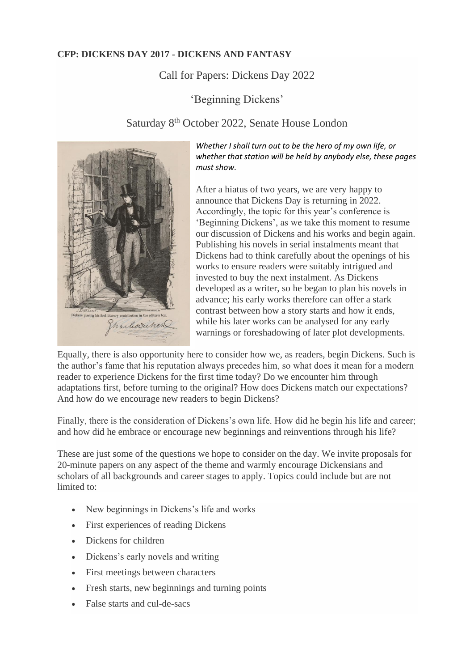## **CFP: DICKENS DAY 2017 - DICKENS AND FANTASY**

## Call for Papers: Dickens Day 2022

'Beginning Dickens'

## Saturday 8th October 2022, Senate House London



*Whether I shall turn out to be the hero of my own life, or whether that station will be held by anybody else, these pages must show.*

After a hiatus of two years, we are very happy to announce that Dickens Day is returning in 2022. Accordingly, the topic for this year's conference is 'Beginning Dickens', as we take this moment to resume our discussion of Dickens and his works and begin again. Publishing his novels in serial instalments meant that Dickens had to think carefully about the openings of his works to ensure readers were suitably intrigued and invested to buy the next instalment. As Dickens developed as a writer, so he began to plan his novels in advance; his early works therefore can offer a stark contrast between how a story starts and how it ends, while his later works can be analysed for any early warnings or foreshadowing of later plot developments.

Equally, there is also opportunity here to consider how we, as readers, begin Dickens. Such is the author's fame that his reputation always precedes him, so what does it mean for a modern reader to experience Dickens for the first time today? Do we encounter him through adaptations first, before turning to the original? How does Dickens match our expectations? And how do we encourage new readers to begin Dickens?

Finally, there is the consideration of Dickens's own life. How did he begin his life and career; and how did he embrace or encourage new beginnings and reinventions through his life?

These are just some of the questions we hope to consider on the day. We invite proposals for 20-minute papers on any aspect of the theme and warmly encourage Dickensians and scholars of all backgrounds and career stages to apply. Topics could include but are not limited to:

- New beginnings in Dickens's life and works
- First experiences of reading Dickens
- Dickens for children
- Dickens's early novels and writing
- First meetings between characters
- Fresh starts, new beginnings and turning points
- False starts and cul-de-sacs